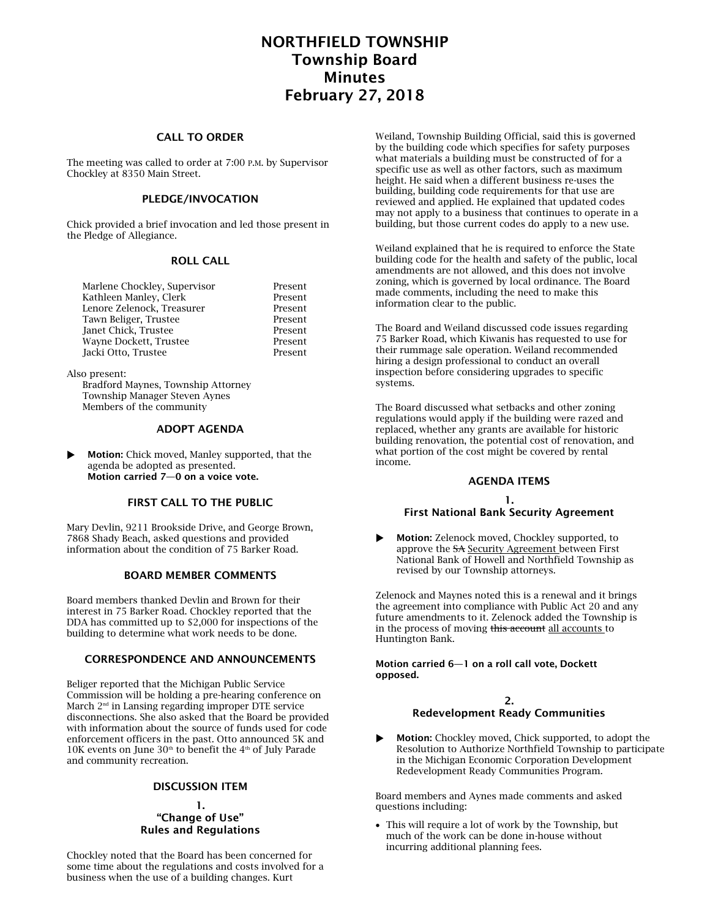# NORTHFIELD TOWNSHIP Township Board Minutes February 27, 2018

# CALL TO ORDER

The meeting was called to order at 7:00 P.M. by Supervisor Chockley at 8350 Main Street.

# PLEDGE/INVOCATION

Chick provided a brief invocation and led those present in the Pledge of Allegiance.

### ROLL CALL

| Present |
|---------|
| Present |
| Present |
| Present |
| Present |
| Present |
| Present |
|         |

Also present:

Bradford Maynes, Township Attorney Township Manager Steven Aynes Members of the community

### ADOPT AGENDA

 Motion: Chick moved, Manley supported, that the agenda be adopted as presented. Motion carried 7—0 on a voice vote.

### FIRST CALL TO THE PUBLIC

Mary Devlin, 9211 Brookside Drive, and George Brown, 7868 Shady Beach, asked questions and provided information about the condition of 75 Barker Road.

#### BOARD MEMBER COMMENTS

Board members thanked Devlin and Brown for their interest in 75 Barker Road. Chockley reported that the DDA has committed up to \$2,000 for inspections of the building to determine what work needs to be done.

# CORRESPONDENCE AND ANNOUNCEMENTS

Beliger reported that the Michigan Public Service Commission will be holding a pre-hearing conference on March 2<sup>nd</sup> in Lansing regarding improper DTE service disconnections. She also asked that the Board be provided with information about the source of funds used for code enforcement officers in the past. Otto announced 5K and 10K events on June  $30<sup>th</sup>$  to benefit the 4<sup>th</sup> of July Parade and community recreation.

# DISCUSSION ITEM

### 1. "Change of Use" Rules and Regulations

Chockley noted that the Board has been concerned for some time about the regulations and costs involved for a business when the use of a building changes. Kurt

Weiland, Township Building Official, said this is governed by the building code which specifies for safety purposes what materials a building must be constructed of for a specific use as well as other factors, such as maximum height. He said when a different business re-uses the building, building code requirements for that use are reviewed and applied. He explained that updated codes may not apply to a business that continues to operate in a building, but those current codes do apply to a new use.

Weiland explained that he is required to enforce the State building code for the health and safety of the public, local amendments are not allowed, and this does not involve zoning, which is governed by local ordinance. The Board made comments, including the need to make this information clear to the public.

The Board and Weiland discussed code issues regarding 75 Barker Road, which Kiwanis has requested to use for their rummage sale operation. Weiland recommended hiring a design professional to conduct an overall inspection before considering upgrades to specific systems.

The Board discussed what setbacks and other zoning regulations would apply if the building were razed and replaced, whether any grants are available for historic building renovation, the potential cost of renovation, and what portion of the cost might be covered by rental income.

# AGENDA ITEMS

### 1. First National Bank Security Agreement

**Motion:** Zelenock moved, Chockley supported, to approve the SA Security Agreement between First National Bank of Howell and Northfield Township as revised by our Township attorneys.

Zelenock and Maynes noted this is a renewal and it brings the agreement into compliance with Public Act 20 and any future amendments to it. Zelenock added the Township is in the process of moving this account all accounts to Huntington Bank.

#### Motion carried 6—1 on a roll call vote, Dockett opposed.

#### 2. Redevelopment Ready Communities

 Motion: Chockley moved, Chick supported, to adopt the Resolution to Authorize Northfield Township to participate in the Michigan Economic Corporation Development Redevelopment Ready Communities Program.

Board members and Aynes made comments and asked questions including:

 This will require a lot of work by the Township, but much of the work can be done in-house without incurring additional planning fees.